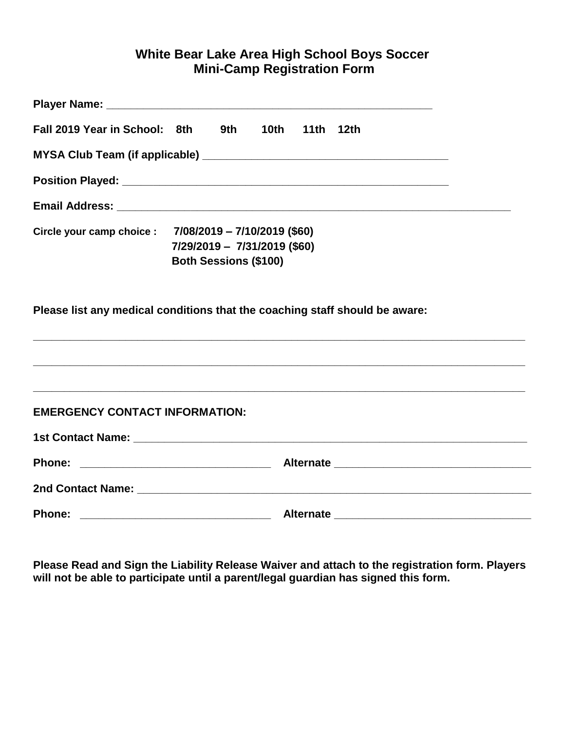## **White Bear Lake Area High School Boys Soccer Mini-Camp Registration Form**

| Fall 2019 Year in School: 8th         | 10 <sub>th</sub><br>9th a<br>11th 12th                                                                                 |  |
|---------------------------------------|------------------------------------------------------------------------------------------------------------------------|--|
|                                       |                                                                                                                        |  |
|                                       | Position Played: North States and States and States and States and States and States and States and States and         |  |
|                                       |                                                                                                                        |  |
|                                       | Circle your camp choice : 7/08/2019 - 7/10/2019 (\$60)<br>7/29/2019 - 7/31/2019 (\$60)<br><b>Both Sessions (\$100)</b> |  |
|                                       | Please list any medical conditions that the coaching staff should be aware:                                            |  |
| <b>EMERGENCY CONTACT INFORMATION:</b> |                                                                                                                        |  |
|                                       |                                                                                                                        |  |
| <b>Phone:</b>                         |                                                                                                                        |  |
|                                       |                                                                                                                        |  |
| Phone:                                | <b>Alternate</b>                                                                                                       |  |

**Please Read and Sign the Liability Release Waiver and attach to the registration form. Players will not be able to participate until a parent/legal guardian has signed this form.**